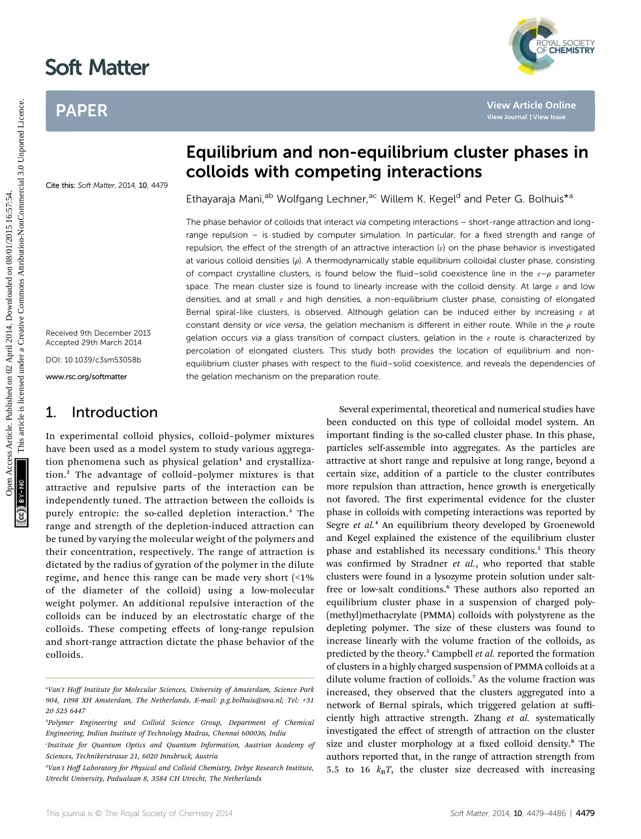# Soft Matter

Cite this: Soft Matter, 2014, 10, 4479

## PAPER



## Equilibrium and non-equilibrium cluster phases in colloids with competing interactions

Ethayaraja Mani,<sup>ab</sup> Wolfgang Lechner,<sup>ac</sup> Willem K. Kegel<sup>d</sup> and Peter G. Bolhuis<sup>\*a</sup>

The phase behavior of colloids that interact via competing interactions - short-range attraction and longrange repulsion – is studied by computer simulation. In particular, for a fixed strength and range of repulsion, the effect of the strength of an attractive interaction  $(e)$  on the phase behavior is investigated at various colloid densities  $(\rho)$ . A thermodynamically stable equilibrium colloidal cluster phase, consisting of compact crystalline clusters, is found below the fluid–solid coexistence line in the  $\varepsilon-\rho$  parameter space. The mean cluster size is found to linearly increase with the colloid density. At large  $\varepsilon$  and low densities, and at small  $\varepsilon$  and high densities, a non-equilibrium cluster phase, consisting of elongated Bernal spiral-like clusters, is observed. Although gelation can be induced either by increasing  $\varepsilon$  at constant density or vice versa, the gelation mechanism is different in either route. While in the  $\rho$  route gelation occurs via a glass transition of compact clusters, gelation in the  $\varepsilon$  route is characterized by percolation of elongated clusters. This study both provides the location of equilibrium and nonequilibrium cluster phases with respect to the fluid–solid coexistence, and reveals the dependencies of the gelation mechanism on the preparation route. PAPER<br>
Equilibrium and non-equilibrium cluster phases in the collection<br>
Equilibrium and non-equilibrium cluster phases in the collection of<br>
Ethysiophysics and the collection of the collection of the collection of<br>
Ethys

Received 9th December 2013 Accepted 29th March 2014 DOI: 10.1039/c3sm53058b

www.rsc.org/softmatter

## 1. Introduction

In experimental colloid physics, colloid–polymer mixtures have been used as a model system to study various aggregation phenomena such as physical gelation $1$  and crystallization.<sup>2</sup> The advantage of colloid–polymer mixtures is that attractive and repulsive parts of the interaction can be independently tuned. The attraction between the colloids is purely entropic: the so-called depletion interaction.<sup>3</sup> The range and strength of the depletion-induced attraction can be tuned by varying the molecular weight of the polymers and their concentration, respectively. The range of attraction is dictated by the radius of gyration of the polymer in the dilute regime, and hence this range can be made very short (<1% of the diameter of the colloid) using a low-molecular weight polymer. An additional repulsive interaction of the colloids can be induced by an electrostatic charge of the colloids. These competing effects of long-range repulsion and short-range attraction dictate the phase behavior of the colloids.

Several experimental, theoretical and numerical studies have been conducted on this type of colloidal model system. An important finding is the so-called cluster phase. In this phase, particles self-assemble into aggregates. As the particles are attractive at short range and repulsive at long range, beyond a certain size, addition of a particle to the cluster contributes more repulsion than attraction, hence growth is energetically not favored. The first experimental evidence for the cluster phase in colloids with competing interactions was reported by Segre et al.<sup>4</sup> An equilibrium theory developed by Groenewold and Kegel explained the existence of the equilibrium cluster phase and established its necessary conditions.<sup>5</sup> This theory was confirmed by Stradner et al., who reported that stable clusters were found in a lysozyme protein solution under saltfree or low-salt conditions.<sup>6</sup> These authors also reported an equilibrium cluster phase in a suspension of charged poly- (methyl)methacrylate (PMMA) colloids with polystyrene as the depleting polymer. The size of these clusters was found to increase linearly with the volume fraction of the colloids, as predicted by the theory.<sup>5</sup> Campbell *et al.* reported the formation of clusters in a highly charged suspension of PMMA colloids at a dilute volume fraction of colloids.<sup>7</sup> As the volume fraction was increased, they observed that the clusters aggregated into a network of Bernal spirals, which triggered gelation at sufficiently high attractive strength. Zhang et al. systematically investigated the effect of strength of attraction on the cluster size and cluster morphology at a fixed colloid density.<sup>8</sup> The authors reported that, in the range of attraction strength from 5.5 to 16  $k_B T$ , the cluster size decreased with increasing

<sup>&</sup>quot;Van't Hoff Institute for Molecular Sciences, University of Amsterdam, Science Park 904, 1098 XH Amsterdam, The Netherlands. E-mail: p.g.bolhuis@uva.nl; Tel: +31 20 525 6447

b Polymer Engineering and Colloid Science Group, Department of Chemical Engineering, Indian Institute of Technology Madras, Chennai 600036, India

Institute for Quantum Optics and Quantum Information, Austrian Academy of Sciences, Technikerstrasse 21, 6020 Innsbruck, Austria

dVan't Hoff Laboratory for Physical and Colloid Chemistry, Debye Research Institute, Utrecht University, Padualaan 8, 3584 CH Utrecht, The Netherlands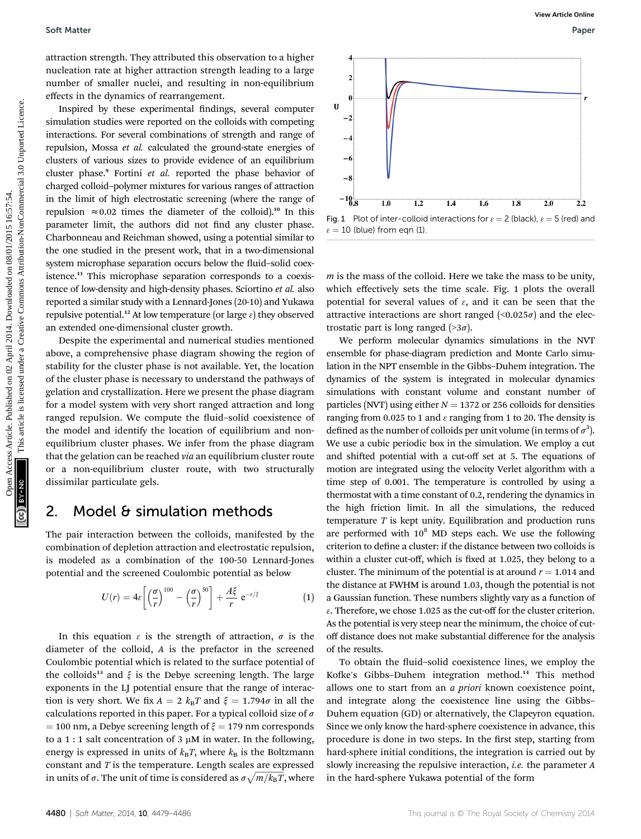attraction strength. They attributed this observation to a higher nucleation rate at higher attraction strength leading to a large number of smaller nuclei, and resulting in non-equilibrium effects in the dynamics of rearrangement.

Inspired by these experimental findings, several computer simulation studies were reported on the colloids with competing interactions. For several combinations of strength and range of repulsion, Mossa et al. calculated the ground-state energies of clusters of various sizes to provide evidence of an equilibrium cluster phase.<sup>9</sup> Fortini et al. reported the phase behavior of charged colloid–polymer mixtures for various ranges of attraction in the limit of high electrostatic screening (where the range of repulsion  $\approx 0.02$  times the diameter of the colloid).<sup>10</sup> In this parameter limit, the authors did not find any cluster phase. Charbonneau and Reichman showed, using a potential similar to the one studied in the present work, that in a two-dimensional system microphase separation occurs below the fluid-solid coexistence.<sup>11</sup> This microphase separation corresponds to a coexistence of low-density and high-density phases. Sciortino et al. also reported a similar study with a Lennard-Jones (20-10) and Yukawa repulsive potential.<sup>12</sup> At low temperature (or large  $\varepsilon$ ) they observed an extended one-dimensional cluster growth. Soft Matter<br>
attraction arte deliger article constrained on single<br>
metrical constrained on the constrained on originalization<br>
delige, several constrained for all the plane equilibrium<br>  $\frac{1}{2}$ <br>
imagination, Mossa et a

Despite the experimental and numerical studies mentioned above, a comprehensive phase diagram showing the region of stability for the cluster phase is not available. Yet, the location of the cluster phase is necessary to understand the pathways of gelation and crystallization. Here we present the phase diagram for a model system with very short ranged attraction and long ranged repulsion. We compute the fluid-solid coexistence of the model and identify the location of equilibrium and nonequilibrium cluster phases. We infer from the phase diagram that the gelation can be reached via an equilibrium cluster route or a non-equilibrium cluster route, with two structurally dissimilar particulate gels.

### 2. Model & simulation methods

The pair interaction between the colloids, manifested by the combination of depletion attraction and electrostatic repulsion, is modeled as a combination of the 100-50 Lennard-Jones potential and the screened Coulombic potential as below

$$
U(r) = 4\varepsilon \left[ \left( \frac{\sigma}{r} \right)^{100} - \left( \frac{\sigma}{r} \right)^{50} \right] + \frac{A\xi}{r} e^{-r/\xi}
$$
 (1)

In this equation  $\varepsilon$  is the strength of attraction,  $\sigma$  is the diameter of the colloid, A is the prefactor in the screened Coulombic potential which is related to the surface potential of the colloids<sup>13</sup> and  $\xi$  is the Debye screening length. The large exponents in the LJ potential ensure that the range of interaction is very short. We fix  $A = 2 k_B T$  and  $\xi = 1.794\sigma$  in all the calculations reported in this paper. For a typical colloid size of  $\sigma$  $=$  100 nm, a Debye screening length of  $\xi = 179$  nm corresponds to a 1 : 1 salt concentration of 3  $\mu$ M in water. In the following, energy is expressed in units of  $k_BT$ , where  $k_B$  is the Boltzmann constant and  $T$  is the temperature. Length scales are expressed in units of  $\sigma.$  The unit of time is considered as  $\sigma\sqrt{m/k_{\rm B}T},$  where

Fig. 1 Plot of inter-colloid interactions for  $\varepsilon = 2$  (black),  $\varepsilon = 5$  (red) and  $\epsilon = 10$  (blue) from eqn (1).

 $m$  is the mass of the colloid. Here we take the mass to be unity, which effectively sets the time scale. Fig. 1 plots the overall potential for several values of  $\varepsilon$ , and it can be seen that the attractive interactions are short ranged  $(\leq 0.025\sigma)$  and the electrostatic part is long ranged  $($ >3 $\sigma$ ).

We perform molecular dynamics simulations in the NVT ensemble for phase-diagram prediction and Monte Carlo simulation in the NPT ensemble in the Gibbs–Duhem integration. The dynamics of the system is integrated in molecular dynamics simulations with constant volume and constant number of particles (NVT) using either  $N = 1372$  or 256 colloids for densities ranging from 0.025 to 1 and  $\varepsilon$  ranging from 1 to 20. The density is defined as the number of colloids per unit volume (in terms of  $\sigma^3$ ). We use a cubic periodic box in the simulation. We employ a cut and shifted potential with a cut-off set at 5. The equations of motion are integrated using the velocity Verlet algorithm with a time step of 0.001. The temperature is controlled by using a thermostat with a time constant of 0.2, rendering the dynamics in the high friction limit. In all the simulations, the reduced temperature  $T$  is kept unity. Equilibration and production runs are performed with  $10^8$  MD steps each. We use the following criterion to define a cluster: if the distance between two colloids is within a cluster cut-off, which is fixed at 1.025, they belong to a cluster. The minimum of the potential is at around  $r = 1.014$  and the distance at FWHM is around 1.03, though the potential is not a Gaussian function. These numbers slightly vary as a function of  $\varepsilon$ . Therefore, we chose 1.025 as the cut-off for the cluster criterion. As the potential is very steep near the minimum, the choice of cutoff distance does not make substantial difference for the analysis of the results.

To obtain the fluid–solid coexistence lines, we employ the Kofke's Gibbs-Duhem integration method.<sup>14</sup> This method allows one to start from an a priori known coexistence point, and integrate along the coexistence line using the Gibbs– Duhem equation (GD) or alternatively, the Clapeyron equation. Since we only know the hard-sphere coexistence in advance, this procedure is done in two steps. In the first step, starting from hard-sphere initial conditions, the integration is carried out by slowly increasing the repulsive interaction, *i.e.* the parameter A in the hard-sphere Yukawa potential of the form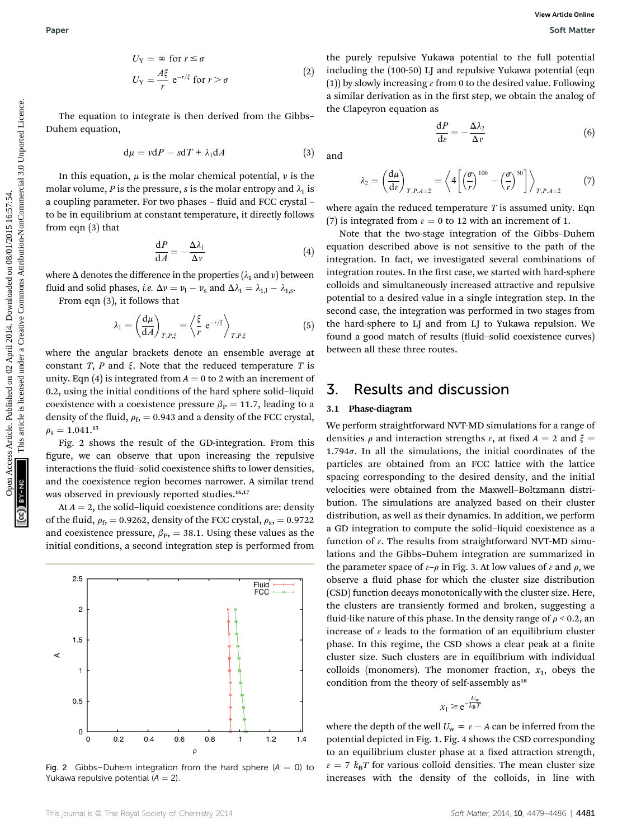$$
U_{Y} = \infty \text{ for } r \le \sigma
$$
  
\n
$$
U_{Y} = \frac{A\xi}{r} e^{-r/\xi} \text{ for } r > \sigma
$$
 (2)

The equation to integrate is then derived from the Gibbs– Duhem equation,

$$
d\mu = v dP - s dT + \lambda_1 dA \qquad (3)
$$

In this equation,  $\mu$  is the molar chemical potential,  $\nu$  is the molar volume, P is the pressure, s is the molar entropy and  $\lambda_1$  is a coupling parameter. For two phases - fluid and FCC crystal to be in equilibrium at constant temperature, it directly follows from eqn (3) that

$$
\frac{\mathrm{d}P}{\mathrm{d}A} = -\frac{\Delta\lambda_1}{\Delta\nu} \tag{4}
$$

where  $\Delta$  denotes the difference in the properties ( $\lambda_1$  and v) between fluid and solid phases, *i.e.*  $\Delta v = v_1 - v_s$  and  $\Delta \lambda_1 = \lambda_{1,1} - \lambda_{1,s}$ .

From eqn (3), it follows that

$$
\lambda_1 = \left(\frac{\mathrm{d}\mu}{\mathrm{d}A}\right)_{T,P,\xi} = \left\langle \frac{\xi}{r} \,\mathrm{e}^{-r/\xi} \right\rangle_{T,P,\xi} \tag{5}
$$

where the angular brackets denote an ensemble average at constant T, P and  $\xi$ . Note that the reduced temperature T is unity. Eqn (4) is integrated from  $A = 0$  to 2 with an increment of 0.2, using the initial conditions of the hard sphere solid–liquid coexistence with a coexistence pressure  $\beta_P = 11.7$ , leading to a density of the fluid,  $\rho_f$ , = 0.943 and a density of the FCC crystal,  $\rho_{\rm s} = 1.041.^{15}$ 

Fig. 2 shows the result of the GD-integration. From this figure, we can observe that upon increasing the repulsive interactions the fluid–solid coexistence shifts to lower densities, and the coexistence region becomes narrower. A similar trend was observed in previously reported studies.<sup>16,17</sup>

At  $A = 2$ , the solid-liquid coexistence conditions are: density of the fluid,  $\rho_f$ , = 0.9262, density of the FCC crystal,  $\rho_s$ , = 0.9722 and coexistence pressure,  $\beta_{\text{P}}$ , = 38.1. Using these values as the initial conditions, a second integration step is performed from



Fig. 2 Gibbs–Duhem integration from the hard sphere  $(A = 0)$  to Yukawa repulsive potential  $(A = 2)$ .

the purely repulsive Yukawa potential to the full potential including the (100-50) LJ and repulsive Yukawa potential (eqn (1)) by slowly increasing  $\varepsilon$  from 0 to the desired value. Following a similar derivation as in the first step, we obtain the analog of the Clapeyron equation as

$$
\frac{\mathrm{d}P}{\mathrm{d}\varepsilon} = -\frac{\Delta\lambda_2}{\Delta v} \tag{6}
$$

and

$$
\lambda_2 = \left(\frac{\mathrm{d}\mu}{\mathrm{d}\varepsilon}\right)_{T,P,A=2} = \left\langle 4\left[\left(\frac{\sigma}{r}\right)^{100} - \left(\frac{\sigma}{r}\right)^{50}\right]\right\rangle_{T,P,A=2} \tag{7}
$$

where again the reduced temperature  $T$  is assumed unity. Eqn (7) is integrated from  $\varepsilon = 0$  to 12 with an increment of 1.

Note that the two-stage integration of the Gibbs–Duhem equation described above is not sensitive to the path of the integration. In fact, we investigated several combinations of integration routes. In the first case, we started with hard-sphere colloids and simultaneously increased attractive and repulsive potential to a desired value in a single integration step. In the second case, the integration was performed in two stages from the hard-sphere to LJ and from LJ to Yukawa repulsion. We found a good match of results (fluid-solid coexistence curves) between all these three routes. Paper<br>  $U_Y = \frac{dV}{r} e^{-rt}$  for  $r \ge 0$ <br>  $U_Y = \frac{dV}{r} e^{-rt}$  for  $r \ge 0$ <br>
The equation to insegrate is then derived from the Gibbs are there are no one of explore the signal on the published value of the common common interven

## 3. Results and discussion

#### 3.1 Phase-diagram

We perform straightforward NVT-MD simulations for a range of densities  $\rho$  and interaction strengths  $\varepsilon$ , at fixed  $A = 2$  and  $\xi = \frac{1}{2}$ 1.794 $\sigma$ . In all the simulations, the initial coordinates of the particles are obtained from an FCC lattice with the lattice spacing corresponding to the desired density, and the initial velocities were obtained from the Maxwell–Boltzmann distribution. The simulations are analyzed based on their cluster distribution, as well as their dynamics. In addition, we perform a GD integration to compute the solid–liquid coexistence as a function of  $\varepsilon$ . The results from straightforward NVT-MD simulations and the Gibbs–Duhem integration are summarized in the parameter space of  $\varepsilon-\rho$  in Fig. 3. At low values of  $\varepsilon$  and  $\rho$ , we observe a fluid phase for which the cluster size distribution (CSD) function decays monotonically with the cluster size. Here, the clusters are transiently formed and broken, suggesting a fluid-like nature of this phase. In the density range of  $\rho < 0.2$ , an increase of  $\epsilon$  leads to the formation of an equilibrium cluster phase. In this regime, the CSD shows a clear peak at a finite cluster size. Such clusters are in equilibrium with individual colloids (monomers). The monomer fraction,  $x_1$ , obeys the condition from the theory of self-assembly as<sup>18</sup>

 $x_1 \ge e^{-\frac{U_w}{k_B T}}$ 

where the depth of the well  $U_w \approx \varepsilon - A$  can be inferred from the potential depicted in Fig. 1. Fig. 4 shows the CSD corresponding to an equilibrium cluster phase at a fixed attraction strength,  $\epsilon = 7$   $k_B T$  for various colloid densities. The mean cluster size increases with the density of the colloids, in line with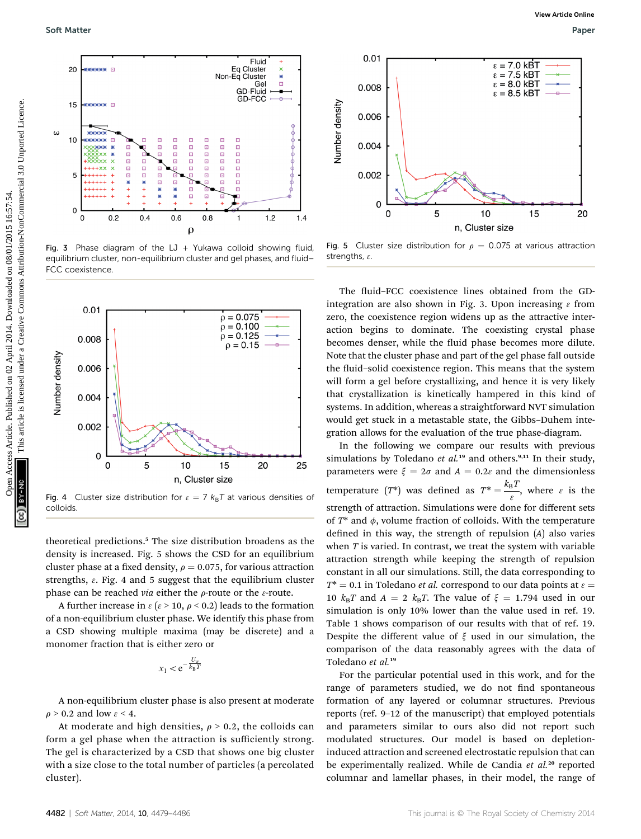

Fig. 3 Phase diagram of the LJ + Yukawa colloid showing fluid, equilibrium cluster, non-equilibrium cluster and gel phases, and fluid– FCC coexistence.



Fig. 4 Cluster size distribution for  $\varepsilon = 7$   $k_B T$  at various densities of colloids.

theoretical predictions.<sup>5</sup> The size distribution broadens as the density is increased. Fig. 5 shows the CSD for an equilibrium cluster phase at a fixed density,  $\rho = 0.075$ , for various attraction strengths,  $\varepsilon$ . Fig. 4 and 5 suggest that the equilibrium cluster phase can be reached via either the  $\rho$ -route or the  $\varepsilon$ -route.

A further increase in  $\varepsilon$  ( $\varepsilon$  > 10,  $\rho$  < 0.2) leads to the formation of a non-equilibrium cluster phase. We identify this phase from a CSD showing multiple maxima (may be discrete) and a monomer fraction that is either zero or

$$
x_1 < e^{-\frac{U_w}{k_B T}}
$$

A non-equilibrium cluster phase is also present at moderate  $\rho$  > 0.2 and low  $\varepsilon$  < 4.

At moderate and high densities,  $\rho > 0.2$ , the colloids can form a gel phase when the attraction is sufficiently strong. The gel is characterized by a CSD that shows one big cluster with a size close to the total number of particles (a percolated cluster).



Fig. 5 Cluster size distribution for  $\rho = 0.075$  at various attraction strengths,  $\varepsilon$ .

The fluid–FCC coexistence lines obtained from the GDintegration are also shown in Fig. 3. Upon increasing  $\varepsilon$  from zero, the coexistence region widens up as the attractive interaction begins to dominate. The coexisting crystal phase becomes denser, while the fluid phase becomes more dilute. Note that the cluster phase and part of the gel phase fall outside the fluid–solid coexistence region. This means that the system will form a gel before crystallizing, and hence it is very likely that crystallization is kinetically hampered in this kind of systems. In addition, whereas a straightforward NVT simulation would get stuck in a metastable state, the Gibbs–Duhem integration allows for the evaluation of the true phase-diagram.

In the following we compare our results with previous simulations by Toledano et  $al.^{19}$  and others.<sup>9,11</sup> In their study, parameters were  $\xi = 2\sigma$  and  $A = 0.2\epsilon$  and the dimensionless temperature  $(T^*)$  was defined as  $T^* = \frac{k_B T}{\varepsilon}$ , where  $\varepsilon$  is the strength of attraction. Simulations were done for different sets of  $T^*$  and  $\phi$ , volume fraction of colloids. With the temperature defined in this way, the strength of repulsion  $(A)$  also varies when  $T$  is varied. In contrast, we treat the system with variable attraction strength while keeping the strength of repulsion constant in all our simulations. Still, the data corresponding to  $T^* = 0.1$  in Toledano *et al.* correspond to our data points at  $\varepsilon =$ 10  $k_BT$  and  $A = 2$   $k_BT$ . The value of  $\xi = 1.794$  used in our simulation is only 10% lower than the value used in ref. 19. Table 1 shows comparison of our results with that of ref. 19. Despite the different value of  $\xi$  used in our simulation, the comparison of the data reasonably agrees with the data of Toledano et al.<sup>19</sup>

For the particular potential used in this work, and for the range of parameters studied, we do not find spontaneous formation of any layered or columnar structures. Previous reports (ref. 9–12 of the manuscript) that employed potentials and parameters similar to ours also did not report such modulated structures. Our model is based on depletioninduced attraction and screened electrostatic repulsion that can be experimentally realized. While de Candia et al.<sup>20</sup> reported columnar and lamellar phases, in their model, the range of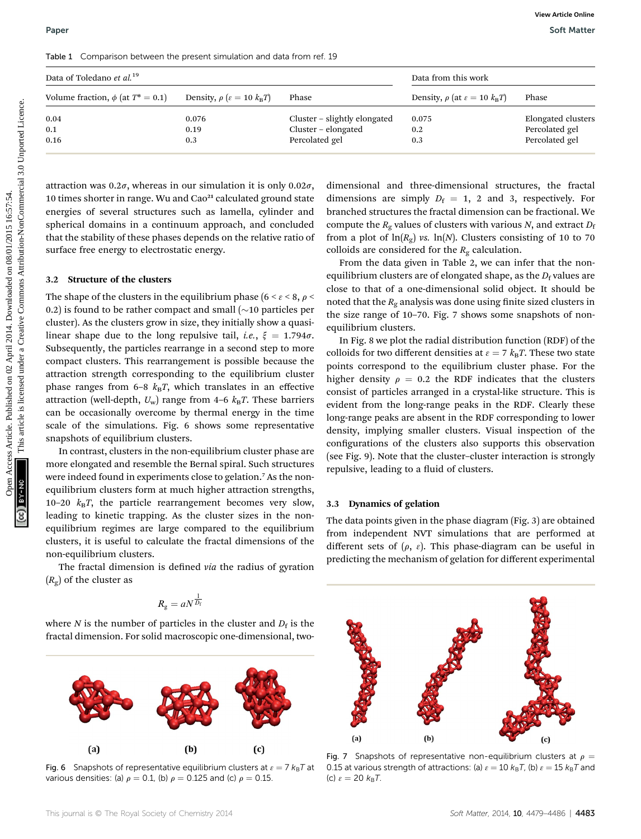|  | Table 1 Comparison between the present simulation and data from ref. 19 |  |  |  |  |  |  |  |  |
|--|-------------------------------------------------------------------------|--|--|--|--|--|--|--|--|
|--|-------------------------------------------------------------------------|--|--|--|--|--|--|--|--|

| Data of Toledano et al. <sup>19</sup>                                                                                                                                                                                                                                                                                                                                                                                                                                                                                                                                                                                                                                                                                                                                                                                                                                                                                                                                                                                                                                                                                                                                                                                                                                                                                                                                                                                                                                                                                                                                                                |                                              | Data from this work |                              |                                                                                                                                                                                                                                                                                                                                                                                                                                                                                                                                                                                                                                                                                                                                                                                                                                                                                                                                                                                                                                                                                                                                                                                                                                                                                                                                                                                                                                                                                                                |                                  |
|------------------------------------------------------------------------------------------------------------------------------------------------------------------------------------------------------------------------------------------------------------------------------------------------------------------------------------------------------------------------------------------------------------------------------------------------------------------------------------------------------------------------------------------------------------------------------------------------------------------------------------------------------------------------------------------------------------------------------------------------------------------------------------------------------------------------------------------------------------------------------------------------------------------------------------------------------------------------------------------------------------------------------------------------------------------------------------------------------------------------------------------------------------------------------------------------------------------------------------------------------------------------------------------------------------------------------------------------------------------------------------------------------------------------------------------------------------------------------------------------------------------------------------------------------------------------------------------------------|----------------------------------------------|---------------------|------------------------------|----------------------------------------------------------------------------------------------------------------------------------------------------------------------------------------------------------------------------------------------------------------------------------------------------------------------------------------------------------------------------------------------------------------------------------------------------------------------------------------------------------------------------------------------------------------------------------------------------------------------------------------------------------------------------------------------------------------------------------------------------------------------------------------------------------------------------------------------------------------------------------------------------------------------------------------------------------------------------------------------------------------------------------------------------------------------------------------------------------------------------------------------------------------------------------------------------------------------------------------------------------------------------------------------------------------------------------------------------------------------------------------------------------------------------------------------------------------------------------------------------------------|----------------------------------|
| Volume fraction, $\phi$ (at $T^* = 0.1$ )                                                                                                                                                                                                                                                                                                                                                                                                                                                                                                                                                                                                                                                                                                                                                                                                                                                                                                                                                                                                                                                                                                                                                                                                                                                                                                                                                                                                                                                                                                                                                            | Density, $\rho$ ( $\varepsilon = 10 k_B T$ ) | Phase               |                              | Density, $\rho$ (at $\varepsilon = 10 k_B T$ )                                                                                                                                                                                                                                                                                                                                                                                                                                                                                                                                                                                                                                                                                                                                                                                                                                                                                                                                                                                                                                                                                                                                                                                                                                                                                                                                                                                                                                                                 | Phase                            |
| 0.04                                                                                                                                                                                                                                                                                                                                                                                                                                                                                                                                                                                                                                                                                                                                                                                                                                                                                                                                                                                                                                                                                                                                                                                                                                                                                                                                                                                                                                                                                                                                                                                                 | 0.076                                        |                     | Cluster - slightly elongated | 0.075                                                                                                                                                                                                                                                                                                                                                                                                                                                                                                                                                                                                                                                                                                                                                                                                                                                                                                                                                                                                                                                                                                                                                                                                                                                                                                                                                                                                                                                                                                          | Elongated clusters               |
| 0.1<br>0.16                                                                                                                                                                                                                                                                                                                                                                                                                                                                                                                                                                                                                                                                                                                                                                                                                                                                                                                                                                                                                                                                                                                                                                                                                                                                                                                                                                                                                                                                                                                                                                                          | 0.19<br>0.3                                  | Percolated gel      | Cluster - elongated          | 0.2<br>0.3                                                                                                                                                                                                                                                                                                                                                                                                                                                                                                                                                                                                                                                                                                                                                                                                                                                                                                                                                                                                                                                                                                                                                                                                                                                                                                                                                                                                                                                                                                     | Percolated gel<br>Percolated gel |
| attraction was 0.2 $\sigma$ , whereas in our simulation it is only 0.02 $\sigma$ ,<br>10 times shorter in range. Wu and Cao <sup>21</sup> calculated ground state<br>energies of several structures such as lamella, cylinder and<br>spherical domains in a continuum approach, and concluded<br>that the stability of these phases depends on the relative ratio of<br>surface free energy to electrostatic energy.<br><b>Structure of the clusters</b><br>3.2<br>The shape of the clusters in the equilibrium phase (6 < $\varepsilon$ < 8, $\rho$ <<br>0.2) is found to be rather compact and small $(\sim 10$ particles per<br>cluster). As the clusters grow in size, they initially show a quasi-<br>linear shape due to the long repulsive tail, <i>i.e.</i> , $\xi = 1.794\sigma$ .<br>Subsequently, the particles rearrange in a second step to more<br>compact clusters. This rearrangement is possible because the<br>attraction strength corresponding to the equilibrium cluster<br>phase ranges from 6-8 $k_B T$ , which translates in an effective<br>attraction (well-depth, $U_w$ ) range from 4-6 $k_B T$ . These barriers<br>can be occasionally overcome by thermal energy in the time<br>scale of the simulations. Fig. 6 shows some representative<br>snapshots of equilibrium clusters.<br>In contrast, clusters in the non-equilibrium cluster phase are<br>more elongated and resemble the Bernal spiral. Such structures<br>were indeed found in experiments close to gelation. <sup>7</sup> As the non-<br>equilibrium clusters form at much higher attraction strengths, |                                              |                     | equilibrium clusters.        | dimensional and three-dimensional structures, the fractal<br>dimensions are simply $D_f = 1$ , 2 and 3, respectively. For<br>branched structures the fractal dimension can be fractional. We<br>compute the $R_g$ values of clusters with various N, and extract $D_f$<br>from a plot of $\ln(R_g)$ vs. $\ln(N)$ . Clusters consisting of 10 to 70<br>colloids are considered for the $R_g$ calculation.<br>From the data given in Table 2, we can infer that the non-<br>equilibrium clusters are of elongated shape, as the $D_f$ values are<br>close to that of a one-dimensional solid object. It should be<br>noted that the $R_g$ analysis was done using finite sized clusters in<br>the size range of 10-70. Fig. 7 shows some snapshots of non-<br>In Fig. 8 we plot the radial distribution function (RDF) of the<br>colloids for two different densities at $\varepsilon = 7 k_B T$ . These two state<br>points correspond to the equilibrium cluster phase. For the<br>higher density $\rho = 0.2$ the RDF indicates that the clusters<br>consist of particles arranged in a crystal-like structure. This is<br>evident from the long-range peaks in the RDF. Clearly these<br>long-range peaks are absent in the RDF corresponding to lower<br>density, implying smaller clusters. Visual inspection of the<br>configurations of the clusters also supports this observation<br>(see Fig. 9). Note that the cluster-cluster interaction is strongly<br>repulsive, leading to a fluid of clusters. |                                  |

#### 3.2 Structure of the clusters

In contrast, clusters in the non-equilibrium cluster phase are more elongated and resemble the Bernal spiral. Such structures were indeed found in experiments close to gelation.<sup>7</sup> As the nonequilibrium clusters form at much higher attraction strengths, 10–20  $k_BT$ , the particle rearrangement becomes very slow, leading to kinetic trapping. As the cluster sizes in the nonequilibrium regimes are large compared to the equilibrium clusters, it is useful to calculate the fractal dimensions of the non-equilibrium clusters.

The fractal dimension is defined *via* the radius of gyration  $(R_{\rm g})$  of the cluster as

$$
R_{\rm g}=aN^{\frac{1}{D_{\rm f}}}
$$

where N is the number of particles in the cluster and  $D_f$  is the fractal dimension. For solid macroscopic one-dimensional, two-



Fig. 6 Snapshots of representative equilibrium clusters at  $\varepsilon = 7 k_{\text{B}}T$  at various densities: (a)  $\rho = 0.1$ , (b)  $\rho = 0.125$  and (c)  $\rho = 0.15$ .

#### 3.3 Dynamics of gelation

The data points given in the phase diagram (Fig. 3) are obtained from independent NVT simulations that are performed at different sets of  $(\rho, \varepsilon)$ . This phase-diagram can be useful in predicting the mechanism of gelation for different experimental



Fig. 7 Snapshots of representative non-equilibrium clusters at  $\rho =$ 0.15 at various strength of attractions: (a)  $\varepsilon = 10$   $k_B T$ , (b)  $\varepsilon = 15$   $k_B T$  and (c)  $\epsilon = 20 k_B T$ .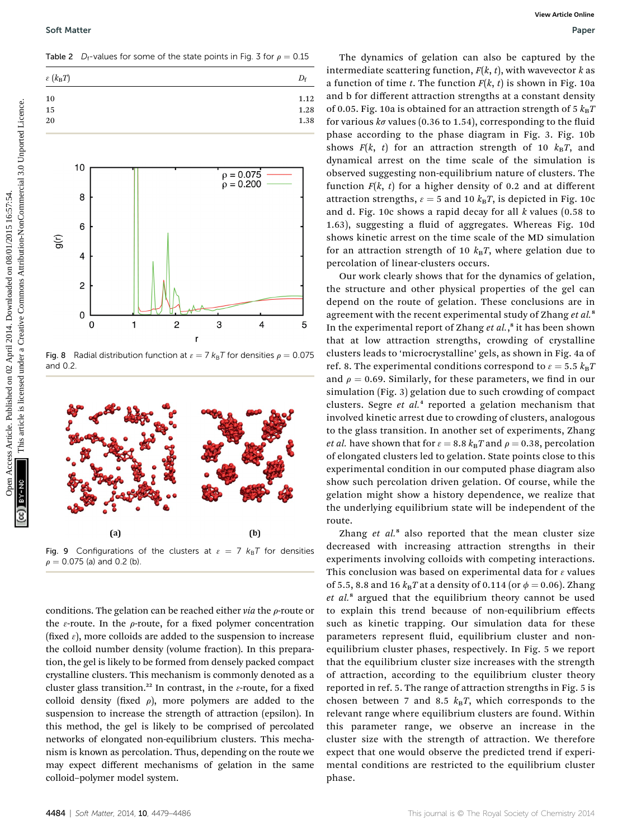Table 2  $D_f$ -values for some of the state points in Fig. 3 for  $\rho = 0.15$ 



Fig. 8 Radial distribution function at  $\epsilon = 7 k_{\text{B}}T$  for densities  $\rho = 0.075$ and 0.2.



Fig. 9 Configurations of the clusters at  $\varepsilon = 7$   $k_B T$  for densities  $\rho = 0.075$  (a) and 0.2 (b).

conditions. The gelation can be reached either  $via$  the  $\rho$ -route or the  $\varepsilon$ -route. In the  $\rho$ -route, for a fixed polymer concentration (fixed  $\varepsilon$ ), more colloids are added to the suspension to increase the colloid number density (volume fraction). In this preparation, the gel is likely to be formed from densely packed compact crystalline clusters. This mechanism is commonly denoted as a cluster glass transition.<sup>22</sup> In contrast, in the  $\varepsilon$ -route, for a fixed colloid density (fixed  $\rho$ ), more polymers are added to the suspension to increase the strength of attraction (epsilon). In this method, the gel is likely to be comprised of percolated networks of elongated non-equilibrium clusters. This mechanism is known as percolation. Thus, depending on the route we may expect different mechanisms of gelation in the same colloid–polymer model system.

The dynamics of gelation can also be captured by the intermediate scattering function,  $F(k, t)$ , with wavevector k as a function of time t. The function  $F(k, t)$  is shown in Fig. 10a and b for different attraction strengths at a constant density of 0.05. Fig. 10a is obtained for an attraction strength of 5  $k_BT$ for various  $k\sigma$  values (0.36 to 1.54), corresponding to the fluid phase according to the phase diagram in Fig. 3. Fig. 10b shows  $F(k, t)$  for an attraction strength of 10  $k_B T$ , and dynamical arrest on the time scale of the simulation is observed suggesting non-equilibrium nature of clusters. The function  $F(k, t)$  for a higher density of 0.2 and at different attraction strengths,  $\varepsilon = 5$  and 10  $k_B T$ , is depicted in Fig. 10c and d. Fig. 10c shows a rapid decay for all  $k$  values (0.58 to 1.63), suggesting a fluid of aggregates. Whereas Fig. 10d shows kinetic arrest on the time scale of the MD simulation for an attraction strength of 10  $k_BT$ , where gelation due to percolation of linear-clusters occurs.

Our work clearly shows that for the dynamics of gelation, the structure and other physical properties of the gel can depend on the route of gelation. These conclusions are in agreement with the recent experimental study of Zhang et al.<sup>8</sup> In the experimental report of Zhang et al.,<sup>8</sup> it has been shown that at low attraction strengths, crowding of crystalline clusters leads to 'microcrystalline' gels, as shown in Fig. 4a of ref. 8. The experimental conditions correspond to  $\varepsilon = 5.5$   $k_B T$ and  $\rho = 0.69$ . Similarly, for these parameters, we find in our simulation (Fig. 3) gelation due to such crowding of compact clusters. Segre et  $al<sup>4</sup>$  reported a gelation mechanism that involved kinetic arrest due to crowding of clusters, analogous to the glass transition. In another set of experiments, Zhang *et al.* have shown that for  $\varepsilon = 8.8$   $k_B T$  and  $\rho = 0.38$ , percolation of elongated clusters led to gelation. State points close to this experimental condition in our computed phase diagram also show such percolation driven gelation. Of course, while the gelation might show a history dependence, we realize that the underlying equilibrium state will be independent of the route. Series Articles. Published on 2 April 2014. The distribution of the common access Article is licensed that the extense Article is licensed under the extense Article is license are a creative Commons Article is licensed un

> Zhang  $et$   $al$ <sup>8</sup> also reported that the mean cluster size decreased with increasing attraction strengths in their experiments involving colloids with competing interactions. This conclusion was based on experimental data for  $\varepsilon$  values of 5.5, 8.8 and 16  $k_{\text{B}}T$  at a density of 0.114 (or  $\phi = 0.06$ ). Zhang et al.<sup>8</sup> argued that the equilibrium theory cannot be used to explain this trend because of non-equilibrium effects such as kinetic trapping. Our simulation data for these parameters represent fluid, equilibrium cluster and nonequilibrium cluster phases, respectively. In Fig. 5 we report that the equilibrium cluster size increases with the strength of attraction, according to the equilibrium cluster theory reported in ref. 5. The range of attraction strengths in Fig. 5 is chosen between 7 and 8.5  $k_B T$ , which corresponds to the relevant range where equilibrium clusters are found. Within this parameter range, we observe an increase in the cluster size with the strength of attraction. We therefore expect that one would observe the predicted trend if experimental conditions are restricted to the equilibrium cluster phase.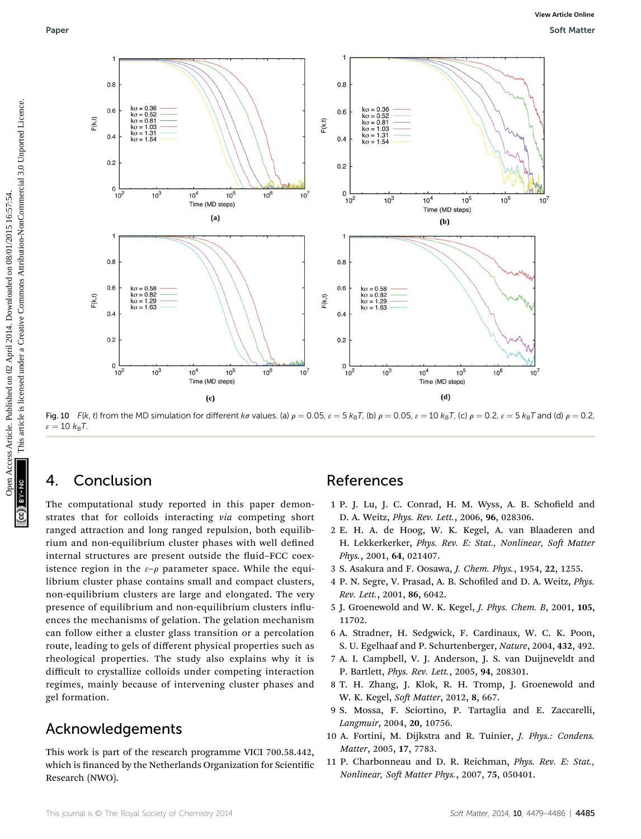

Fig. 10 F(k, t) from the MD simulation for different ka values. (a)  $\rho = 0.05$ ,  $\varepsilon = 5$  k<sub>B</sub>T, (b)  $\rho = 0.05$ ,  $\varepsilon = 10$  k<sub>B</sub>T, (c)  $\rho = 0.2$ ,  $\varepsilon = 5$  k<sub>B</sub>T and (d)  $\rho = 0.2$ ,  $\varepsilon = 10 \; k_{\text{B}}T$ .

## 4. Conclusion

The computational study reported in this paper demonstrates that for colloids interacting via competing short ranged attraction and long ranged repulsion, both equilibrium and non-equilibrium cluster phases with well defined internal structures are present outside the fluid–FCC coexistence region in the  $\varepsilon-\rho$  parameter space. While the equilibrium cluster phase contains small and compact clusters, non-equilibrium clusters are large and elongated. The very presence of equilibrium and non-equilibrium clusters influences the mechanisms of gelation. The gelation mechanism can follow either a cluster glass transition or a percolation route, leading to gels of different physical properties such as rheological properties. The study also explains why it is difficult to crystallize colloids under competing interaction regimes, mainly because of intervening cluster phases and gel formation.

## Acknowledgements

This work is part of the research programme VICI 700.58.442, which is financed by the Netherlands Organization for Scientific Research (NWO).

### References

- 1 P. J. Lu, J. C. Conrad, H. M. Wyss, A. B. Schofield and D. A. Weitz, Phys. Rev. Lett., 2006, 96, 028306.
- 2 E. H. A. de Hoog, W. K. Kegel, A. van Blaaderen and H. Lekkerkerker, Phys. Rev. E: Stat., Nonlinear, Soft Matter Phys., 2001, 64, 021407.
- 3 S. Asakura and F. Oosawa, J. Chem. Phys., 1954, 22, 1255.
- 4 P. N. Segre, V. Prasad, A. B. Schofiled and D. A. Weitz, Phys. Rev. Lett., 2001, 86, 6042.
- 5 J. Groenewold and W. K. Kegel, J. Phys. Chem. B, 2001, 105, 11702.
- 6 A. Stradner, H. Sedgwick, F. Cardinaux, W. C. K. Poon, S. U. Egelhaaf and P. Schurtenberger, Nature, 2004, 432, 492.
- 7 A. I. Campbell, V. J. Anderson, J. S. van Duijneveldt and P. Bartlett, Phys. Rev. Lett., 2005, 94, 208301.
- 8 T. H. Zhang, J. Klok, R. H. Tromp, J. Groenewold and W. K. Kegel, Soft Matter, 2012, 8, 667.
- 9 S. Mossa, F. Sciortino, P. Tartaglia and E. Zaccarelli, Langmuir, 2004, 20, 10756.
- 10 A. Fortini, M. Dijkstra and R. Tuinier, J. Phys.: Condens. Matter, 2005, 17, 7783.
- 11 P. Charbonneau and D. R. Reichman, Phys. Rev. E: Stat., Nonlinear, Soft Matter Phys., 2007, 75, 050401.